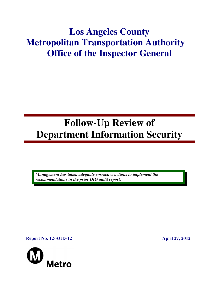## **Los Angeles County Metropolitan Transportation Authority Office of the Inspector General**

# **Follow-Up Review of Department Information Security**

*Management has taken adequate corrective actions to implement the recommendations in the prior OIG audit report.* 

**Report No. 12-AUD-12 April 27, 2012** 

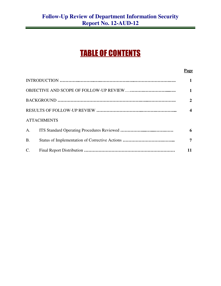## TABLE OF CONTENTS

#### **Page**

|             |                    | 1                |
|-------------|--------------------|------------------|
|             |                    | $\overline{2}$   |
|             |                    | $\boldsymbol{4}$ |
|             | <b>ATTACHMENTS</b> |                  |
|             |                    | 6                |
| <b>B.</b>   |                    | 7                |
| $C_{\cdot}$ |                    | 11               |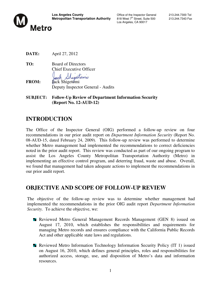

Los Angeles, CA 90017

**DATE:** April 27, 2012

**TO:** Board of Directors Chief Executive Officer Sheattomy

**FROM:** Jack Shigetomi Deputy Inspector General - Audits

**SUBJECT: Follow-Up Review of Department Information Security (Report No. 12-AUD-12)** 

## **INTRODUCTION**

The Office of the Inspector General (OIG) performed a follow-up review on four recommendations in our prior audit report on *Department Information Security* (Report No. 08-AUD-15, dated February 24, 2009). This follow-up review was performed to determine whether Metro management had implemented the recommendations to correct deficiencies noted in the prior audit report. This review was conducted as part of our ongoing program to assist the Los Angeles County Metropolitan Transportation Authority (Metro) in implementing an effective control program, and deterring fraud, waste and abuse. Overall, we found that management had taken adequate actions to implement the recommendations in our prior audit report.

## **OBJECTIVE AND SCOPE OF FOLLOW-UP REVIEW**

The objective of the follow-up review was to determine whether management had implemented the recommendations in the prior OIG audit report *Department Information Security.* To achieve the objective, we:

- **Reviewed Metro General Management Records Management (GEN 8) issued on** August 17, 2010, which establishes the responsibilities and requirements for managing Metro records and ensures compliance with the California Public Records Act and other applicable state laws and regulations.
- **Reviewed Metro Information Technology Information Security Policy (IT 1) issued** on August 16, 2010, which defines general principles, roles and responsibilities for authorized access, storage, use, and disposition of Metro's data and information resources.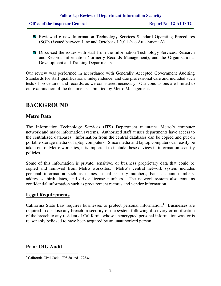|  |  | <b>Office of the Inspector General</b> |  |
|--|--|----------------------------------------|--|
|--|--|----------------------------------------|--|

- **Reviewed 6 new Information Technology Services Standard Operating Procedures** (SOPs) issued between June and October of 2011 (see Attachment A).
- **Discussed the issues with staff from the Information Technology Services, Research** and Records Information (formerly Records Management), and the Organizational Development and Training Departments.

Our review was performed in accordance with Generally Accepted Government Auditing Standards for staff qualifications, independence, and due professional care and included such tests of procedures and records, as we considered necessary. Our conclusions are limited to our examination of the documents submitted by Metro Management.

## **BACKGROUND**

#### **Metro Data**

The Information Technology Services (ITS) Department maintains Metro's computer network and major information systems. Authorized staff at user departments have access to the centralized databases. Information from the central databases can be copied and put on portable storage media or laptop computers. Since media and laptop computers can easily be taken out of Metro worksites, it is important to include these devices in information security policies.

Some of this information is private, sensitive, or business proprietary data that could be copied and removed from Metro worksites. Metro's central network system includes personal information such as names, social security numbers, bank account numbers, addresses, birth dates, and driver license numbers. The network system also contains confidential information such as procurement records and vendor information.

#### **Legal Requirements**

California State Law requires businesses to protect personal information.<sup>1</sup> Businesses are required to disclose any breach in security of the system following discovery or notification of the breach to any resident of California whose unencrypted personal information was, or is reasonably believed to have been acquired by an unauthorized person.

#### **Prior OIG Audit**

 1 California Civil Code 1798.80 and 1798.81.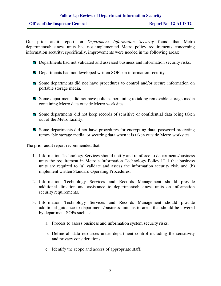Our prior audit report on *Department Information Security* found that Metro departments/business units had not implemented Metro policy requirements concerning information security; specifically, improvements were needed in the following areas:

- **Departments had not validated and assessed business and information security risks.**
- **Departments had not developed written SOPs on information security.**
- Some departments did not have procedures to control and/or secure information on portable storage media.
- **Some departments did not have policies pertaining to taking removable storage media** containing Metro data outside Metro worksites.
- **Some departments did not keep records of sensitive or confidential data being taken** out of the Metro facility.
- Some departments did not have procedures for encrypting data, password protecting removable storage media, or securing data when it is taken outside Metro worksites.

The prior audit report recommended that:

- 1. Information Technology Services should notify and reinforce to departments/business units the requirement in Metro's Information Technology Policy IT 1 that business units are required to (a) validate and assess the information security risk, and (b) implement written Standard Operating Procedures.
- 2. Information Technology Services and Records Management should provide additional direction and assistance to departments/business units on information security requirements.
- 3. Information Technology Services and Records Management should provide additional guidance to departments/business units as to areas that should be covered by department SOPs such as:
	- a. Process to assess business and information system security risks.
	- b. Define all data resources under department control including the sensitivity and privacy considerations.
	- c. Identify the scope and access of appropriate staff.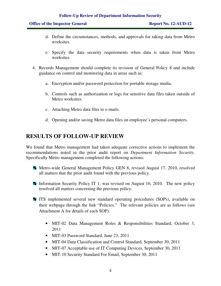- d. Define the circumstances, methods, and approvals for taking data from Metro worksites.
- e. Specify the data security requirements when data is taken from Metro worksites.
- 4. Records Management should complete its revision of General Policy 8 and include guidance on control and monitoring data in areas such as:
	- a. Encryption and/or password protection for portable storage media.
	- b. Controls such as authorization or logs for sensitive data files taken outside of Metro worksites.
	- c. Attaching Metro data files to e-mails.
	- d. Opening and/or saving Metro data files on employee's personal computers.

## **RESULTS OF FOLLOW-UP REVIEW**

We found that Metro management had taken adequate corrective actions to implement the recommendations noted in the prior audit report on *Department Information Security*. Specifically Metro management completed the following actions:

- **Metro-wide General Management Policy GEN 8, revised August 17, 2010, resolved** all matters that the prior audit found with the previous policy.
- Information Security Policy IT 1, was revised on August 16, 2010. The new policy resolved all matters concerning the previous policy.
- ITS implemented several new standard operating procedures (SOPs), available on their webpage through the link "Policies." The relevant policies are as follows (see Attachment A for details of each SOP):
	- MIT-02 Data Management Roles & Responsibilities Standard, October 3, 2011
	- MIT-03 Password Standard, June 23, 2011
	- MIT-04 Data Classification and Control Standard, September 30, 2011
	- MIT-07 Acceptable use of IT Computing Devices, September 30, 2011
	- MIT-10 Security Standard For Email, September 30, 2011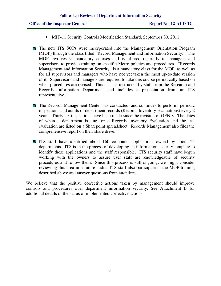- MIT-11 Security Controls Modification Standard, September 30, 2011
- **The new ITS SOPs were incorporated into the Management Orientation Program** (MOP) through the class titled "Record Management and Information Security." The MOP involves 9 mandatory courses and is offered quarterly to managers and supervisors to provide training on specific Metro policies and procedures. "Records Management and Information Security" is a mandatory class for the MOP, as well as for all supervisors and managers who have not yet taken the most up-to-date version of it. Supervisors and managers are required to take this course periodically based on when procedures are revised. This class is instructed by staff from the Research and Records Information Department and includes a presentation from an ITS representative.
- **The Records Management Center has conducted, and continues to perform, periodic** inspections and audits of department records (Records Inventory Evaluations) every 2 years. Thirty six inspections have been made since the revision of GEN 8. The dates of when a department is due for a Records Inventory Evaluation and the last evaluation are listed on a Sharepoint spreadsheet. Records Management also files the comprehensive report on their share drive.
- If ITS staff have identified about 160 computer applications owned by about 25 departments. ITS is in the process of developing an information security template to identify these applications and the staff responsible. ITS security staff have begun working with the owners to assure user staff are knowledgeable of security procedures and follow them. Since this process is still ongoing, we might consider reviewing this area in a future audit. ITS staff also participate in the MOP training described above and answer questions from attendees.

We believe that the positive corrective actions taken by management should improve controls and procedures over department information security. See Attachment B for additional details of the status of implemented corrective actions.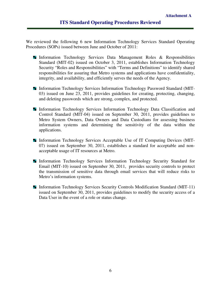We reviewed the following 6 new Information Technology Services Standard Operating Procedures (SOPs) issued between June and October of 2011:

- **Information Technology Services Data Management Roles & Responsibilities** Standard (MIT-02) issued on October 3, 2011, establishes Information Technology Security "Roles and Responsibilities" with "Terms and Definitions" to identify shared responsibilities for assuring that Metro systems and applications have confidentiality, integrity, and availability, and efficiently serves the needs of the Agency.
- Information Technology Services Information Technology Password Standard (MIT-03) issued on June 23, 2011, provides guidelines for creating, protecting, changing, and deleting passwords which are strong, complex, and protected.
- **Information Technology Services Information Technology Data Classification and** Control Standard (MIT-04) issued on September 30, 2011, provides guidelines to Metro System Owners, Data Owners and Data Custodians for assessing business information systems and determining the sensitivity of the data within the applications.
- Information Technology Services Acceptable Use of IT Computing Devices (MIT-07) issued on September 30, 2011, establishes a standard for acceptable and nonacceptable usage of IT resources at Metro.
- **Information Technology Services Information Technology Security Standard for** Email (MIT-10) issued on September 30, 2011, provides security controls to protect the transmission of sensitive data through email services that will reduce risks to Metro's information systems.
- **Information Technology Services Security Controls Modification Standard (MIT-11)** issued on September 30, 2011, provides guidelines to modify the security access of a Data User in the event of a role or status change.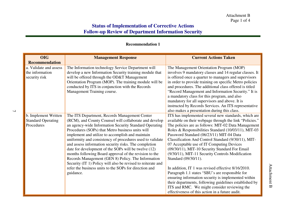#### **Recommendation 1**

| <b>OIG</b>                | <b>Management Response</b>                                   | <b>Current Actions Taken</b>                            |
|---------------------------|--------------------------------------------------------------|---------------------------------------------------------|
| <b>Recommendation</b>     |                                                              |                                                         |
| a. Validate and assess    | The Information technology Service Department will           | The Management Orientation Program (MOP)                |
| the information           | develop a new Information Security training module that      | involves 9 mandatory classes and 14 regular classes. It |
| security risk             | will be offered through the OD&T Management                  | is offered once a quarter to managers and supervisors   |
|                           | Orientation Program (MOP). The training module will be       | in order to provide training on specific Metro policies |
|                           | conducted by ITS in conjunction with the Records             | and procedures. The additional class offered is titled  |
|                           | Management Training course.                                  | "Record Management and Information Security." It is     |
|                           |                                                              | a mandatory class for this program, and also            |
|                           |                                                              | mandatory for all supervisors and above. It is          |
|                           |                                                              | instructed by Records Services. An ITS representative   |
|                           |                                                              | also makes a presentation during this class.            |
| b. Implement Written      | The ITS Department, Records Management Center                | ITS has implemented several new standards, which are    |
| <b>Standard Operating</b> | (RCM), and County Counsel will collaborate and develop       | available on their webpage through the link "Policies." |
| Procedures                | an agency-wide Information Security Standard Operating       | The policies are as follows: MIT-02 Data Management     |
|                           | Procedures (SOPs) that Metro business units will             | Roles & Responsibilities Standard (10/03/11), MIT-03    |
|                           | implement and utilize to accomplish and maintain             | Password Standard (06/23/11) MIT-04 Data                |
|                           | uniformity and consistency of procedures used to validate    | Classification And Control Standard (9/30/11), MIT-     |
|                           | and assess information security risks. The completion        | 07 Acceptable use of IT Computing Devices               |
|                           | date for development of the SOPs will be twelve (12)         | (09/30/11), MIT-10 Security Standard For Email          |
|                           | months following Board approval of the revision to the       | (9/30/11), MIT-11 Security Controls Modification        |
|                           | Records Management (GEN 8) Policy. The Information           | Standard (09/30/11).                                    |
|                           | Security (IT 1) Policy will also be revised to reiterate and |                                                         |
|                           | refer the business units to the SOPs for direction and       | In addition, IT 1 was revised effective 8/16/2010.      |
|                           | guidance.                                                    | Paragraph 1.1 states "SBU's are responsible for         |
|                           |                                                              | ensuring information security is implemented within     |
|                           |                                                              | their departments, following guidelines established by  |
|                           |                                                              | ITS and RMC. We might consider reviewing the            |
|                           |                                                              | effectiveness of this action in a future audit.         |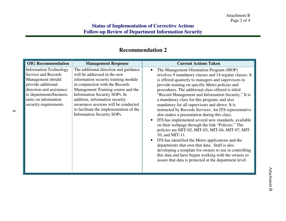## **Recommendation 2**

| <b>OIG</b> Recommendation                                                                                                                                                                               | <b>Management Response</b>                                                                                                                                                                                                                                                                                                                                                 | <b>Current Actions Taken</b>                                                                                                                                                                                                                                                                                                                                                                                                                                                                                                                                                                                                                                                                                                                                                                                                                                                                                                                                                                                |
|---------------------------------------------------------------------------------------------------------------------------------------------------------------------------------------------------------|----------------------------------------------------------------------------------------------------------------------------------------------------------------------------------------------------------------------------------------------------------------------------------------------------------------------------------------------------------------------------|-------------------------------------------------------------------------------------------------------------------------------------------------------------------------------------------------------------------------------------------------------------------------------------------------------------------------------------------------------------------------------------------------------------------------------------------------------------------------------------------------------------------------------------------------------------------------------------------------------------------------------------------------------------------------------------------------------------------------------------------------------------------------------------------------------------------------------------------------------------------------------------------------------------------------------------------------------------------------------------------------------------|
| <b>Information Technology</b><br>Service and Records<br>Management should<br>provide additional<br>direction and assistance<br>to departments/business<br>units on information<br>security requirements | The additional direction and guidance<br>will be addressed in the new<br>information security training module<br>in conjunction with the Records<br>Management Training course and the<br>Information Security SOPs. In<br>addition, information security<br>awareness sessions will be conducted<br>to facilitate the implementation of the<br>Information Security SOPs. | The Management Orientation Program (MOP)<br>involves 9 mandatory classes and 14 regular classes. It<br>is offered quarterly to managers and supervisors to<br>provide training on specific Metro policies and<br>procedures. The additional class offered is titled<br>"Record Management and Information Security." It is<br>a mandatory class for this program, and also<br>mandatory for all supervisors and above. It is<br>instructed by Records Services. An ITS representative<br>also makes a presentation during this class.<br>ITS has implemented several new standards, available<br>on their webpage through the link "Policies." The<br>policies are MIT-02, MIT-03, MIT-04, MIT-07, MIT-<br>10, and MIT-11.<br>ITS has identified the Metro applications and the<br>departments that own that data. Staff is also<br>developing a template for owners to use in controlling<br>this data and have begun working with the owners to<br>assure that data is protected at the department level. |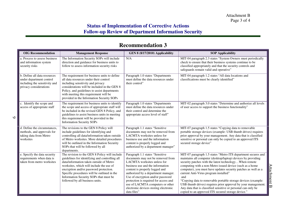## **Recommendation 3**

| <b>OIG</b> Recommendation                                                                                           | <b>Management Response</b>                                                                                                                                                                                                                                                                                                                                   | GEN 8 (8/17/2010) Applicability                                                                                                                                                                                                                                                                                                                                                            | <b>SOP Applicability</b>                                                                                                                                                                                                                                                                                                                                                                                                                                                                                                                                                                                                       |
|---------------------------------------------------------------------------------------------------------------------|--------------------------------------------------------------------------------------------------------------------------------------------------------------------------------------------------------------------------------------------------------------------------------------------------------------------------------------------------------------|--------------------------------------------------------------------------------------------------------------------------------------------------------------------------------------------------------------------------------------------------------------------------------------------------------------------------------------------------------------------------------------------|--------------------------------------------------------------------------------------------------------------------------------------------------------------------------------------------------------------------------------------------------------------------------------------------------------------------------------------------------------------------------------------------------------------------------------------------------------------------------------------------------------------------------------------------------------------------------------------------------------------------------------|
| a. Process to assess business<br>and information system<br>security risks                                           | The Information Security SOPs will include<br>direction and guidance for business units to<br>follow to assess information security risks                                                                                                                                                                                                                    | N/A                                                                                                                                                                                                                                                                                                                                                                                        | MIT-04 paragraph 2.3 states "System Owners must periodically<br>check to ensure that their business systems continue to be<br>classified appropriately and that the security controls and<br>safeguards remain valid and operative"                                                                                                                                                                                                                                                                                                                                                                                            |
| b. Define all data resources<br>under department control<br>including the sensitivity and<br>privacy considerations | The requirement for business units to define<br>all data resources under their control<br>including sensitivity and privacy<br>considerations will be included in the GEN 8<br>Policy, and guidelines to assist departments<br>with meeting this requirement will be<br>provided in the Information Security SOPs                                            | Paragraph 1.0 states "Departments<br>must define the data resources under<br>their control"                                                                                                                                                                                                                                                                                                | MIT-04 paragraph 1.2 states "All data locations and<br>classifications must be clearly identified"                                                                                                                                                                                                                                                                                                                                                                                                                                                                                                                             |
| c. Identify the scope and<br>access of appropriate staff                                                            | The requirement for business units to identify<br>the scope and access of appropriate staff will<br>be included in the revised GEN 8 Policy, and<br>guidelines to assist business units in meeting<br>this requirement will be provided in the<br><b>Information Security SOPs</b>                                                                           | Paragraph 1.0 states "Departments<br>must define the data resources under<br>their control and determine the<br>appropriate access level of staff"                                                                                                                                                                                                                                         | MIT-02 paragraph 3.0 states "Determine and authorize all levels<br>of user access to support the business functionality"                                                                                                                                                                                                                                                                                                                                                                                                                                                                                                       |
| d. Define the circumstances.<br>methods, and approvals for<br>taking data from Metro<br>worksites                   | The revisions to the GEN 8 Policy will<br>include guidelines for identifying and<br>controlling all data/information taken outside<br>of Metro worksites. More detailed procedures<br>will be outlined in the Information Security<br>SOPs that will be followed by all<br>departments.                                                                      | Paragraph 1.1 states "Sensitive<br>documents may not be removed from<br>LACMTA worksites unless for<br>business use and the information<br>content is properly logged and<br>authorized by a department manager"                                                                                                                                                                           | MIT-07 paragraph 1.5 states "Copying data to removable<br>portable storage devices (example: USB thumb drives) requires<br>prior approval by your management. Any data that is classified<br>sensitive or personal can only be copied to an approved ITS<br>secured storage device"                                                                                                                                                                                                                                                                                                                                            |
| e. Specify the data security<br>requirements when data is<br>taken from metro worksites                             | The revision to the GEN 8 Policy will include<br>guidelines for identifying and controlling all<br>data/information taken outside of Metro<br>worksites, which will include the use of<br>encryption and/or password protection.<br>Specific procedures will be outlined in the<br>Information Security SOPs that must be<br>followed by all business units. | Paragraph 1.1 states "Sensitive<br>documents may not be removed from<br>LACMTA worksites unless for<br>business use and the information<br>content is properly logged and<br>authorized by a department manager.<br>Use of encryption and/or password<br>protection is required for access and<br>use of LACMTA computers or other<br>electronic devices storing electronic<br>data files" | MIT-07 paragraph 1.5 states "Metro ITS department secures and<br>maintains all computer (desktop/laptop) devices by providing<br>security patches with the latest technologyWhen remote<br>computing with a non-Metro issued device (such as a home<br>computer), you must have updates security patches as well as a<br>current Anti-Virus program installed"<br>and<br>"Copying data to removable portable storage devices (example:<br>USB thumb drives) requires prior approval by your management.<br>Any data that is classified sensitive or personal can only be<br>copied to an approved ITS secured storage device." |

 $\bullet$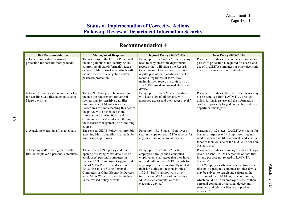## **Recommendation 4**

| <b>OIG</b> Recommendation                                                                                 | <b>Management Response</b>                                                                                                                                                                                                                                                                                                                                            | Original Policy (9/26/2002)                                                                                                                                                                                                                                                                                                                                                          | <b>New Policy (8/17/2010)</b>                                                                                                                                                                                                                                                                                                                                                                                                                                                                                 |
|-----------------------------------------------------------------------------------------------------------|-----------------------------------------------------------------------------------------------------------------------------------------------------------------------------------------------------------------------------------------------------------------------------------------------------------------------------------------------------------------------|--------------------------------------------------------------------------------------------------------------------------------------------------------------------------------------------------------------------------------------------------------------------------------------------------------------------------------------------------------------------------------------|---------------------------------------------------------------------------------------------------------------------------------------------------------------------------------------------------------------------------------------------------------------------------------------------------------------------------------------------------------------------------------------------------------------------------------------------------------------------------------------------------------------|
| a. Encryption and/or password<br>protection for portable storage media                                    | The revisions to the GEN 8 Policy will<br>include guidelines for identifying and<br>controlling all data/information taken<br>outside of Metro worksites, which will<br>include the use of encryption and/or<br>password protection                                                                                                                                   | Paragraph 1.5.3.3 states "If there is any<br>need to copy electronic departmental<br>records, they will advise the Records<br>Coordinator. However, staff that as a<br>regular part of their job duties develop<br>records, regardless of form, may<br>maintain such records in draft form on<br>any MTA issued and owned electronic<br>device"                                      | Paragraph 1.1 states "Use of encryption and/or<br>password protection is required for access and<br>use of LACMTA computers or other electronic<br>devices storing electronic data files"                                                                                                                                                                                                                                                                                                                     |
| b. Controls such as authorization or logs<br>for sensitive data files taken outside of<br>Metro worksites | The GEN 8 Policy will be revised to<br>include the requirement for controls<br>such as logs for sensitive data files<br>taken outside of Metro worksites.<br>Procedures for implementing this part of<br>the policy will be included in the<br>Information Security SOPs, and<br>communicated and reinforced through<br>the Records Management MOP training<br>course | Paragraph 1.3 states "Each department<br>will keep a list of all persons with<br>approved access and their access levels"                                                                                                                                                                                                                                                            | Paragraph 1.1 states "Sensitive documents may<br>not be removed from LACMTA worksites<br>unless for business use and the information<br>content is properly logged and authorized by a<br>department manager."                                                                                                                                                                                                                                                                                                |
| c. Attaching Metro data files to emails                                                                   | The revised GEN 8 Policy will prohibit<br>attaching Metro data files to e-mails for<br>non-business purposes                                                                                                                                                                                                                                                          | Paragraph 1.5.3.3 states "Employees<br>shall not copy or retain MTA records for<br>any unofficial or personal reason."                                                                                                                                                                                                                                                               | Paragraph 1.1.2 states "LACMTA e-mail is for<br>business purposes only. Employees may not<br>send or attach data files to e-mails and send or<br>forward them outside of the LACMTA for non-<br>business use."                                                                                                                                                                                                                                                                                                |
| d. Opening and/or saving metro data<br>files on employee's personal computers                             | The current GEN 8 policy addresses<br>opening or saving Metro data files on<br>employees' personal computers in<br>section 1.5.3.3 Employee Copying and<br>Use of MTA Records, and section<br>1.5.3.4 Results of Using Personal<br>Computers or Other Electronic Devices<br>to do MTA Work. This will be included<br>in the revised policy as well.                   | Paragraph 1.5.3.3 states "Each<br>employee, through their continued<br>employment shall agree that they have<br>not and will not copy MTA records for<br>any purpose that is not directly related to<br>their job duties and responsibilities."<br>1.5.3.4 "Staff shall not work on or<br>transfer any MTA record onto a non-<br>MTA issued computer or other<br>electronic device." | Paragraph 1.1 states "Employees may not copy,<br>retain, or send LACMTA records or data files<br>for any purpose not related to LACMTA<br>business"<br>1.1.1 "Employees who transfer electronic data<br>files onto a personal computer or other device<br>may be subject to search and seizure at the<br>direction of the LACMTA, or a court order,<br>which could tie up an employee's use of their<br>personal computer or personal device until<br>searched and relevant files are copied and<br>removed." |